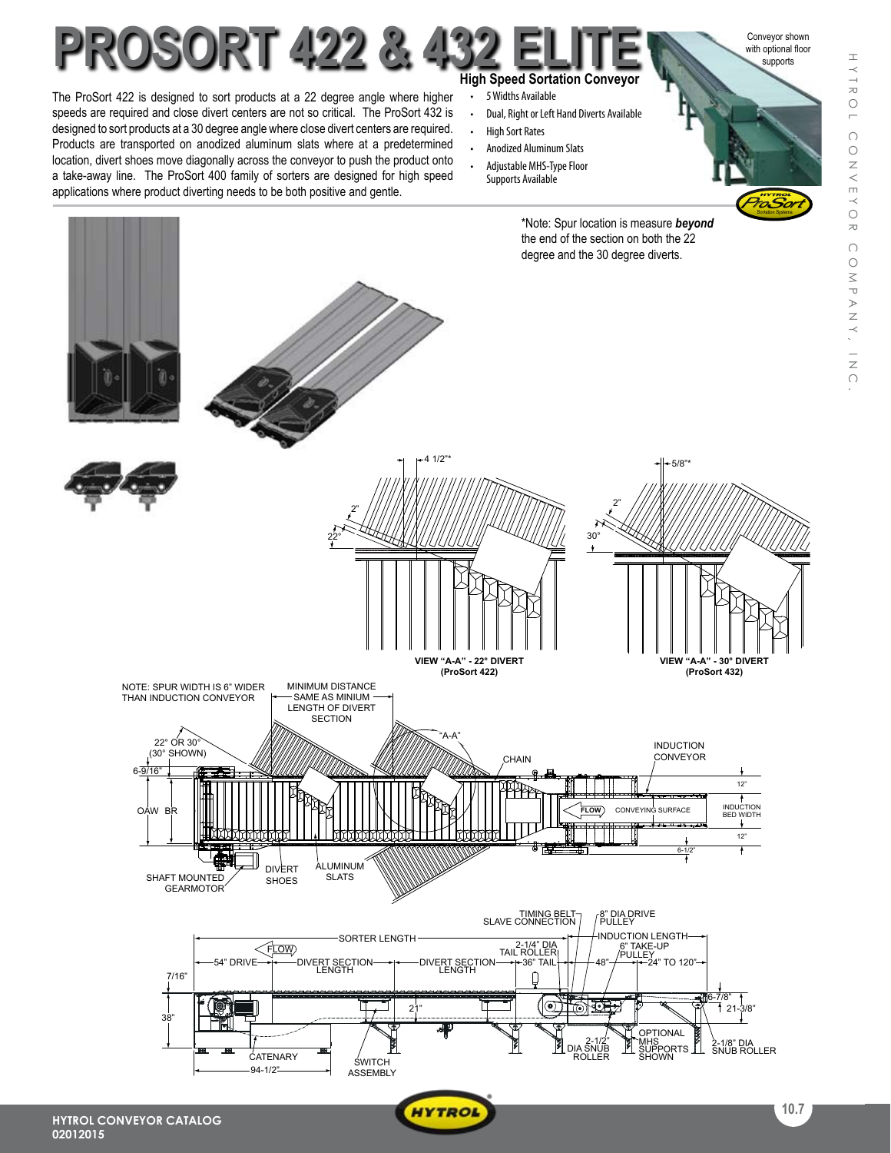

WYTROL